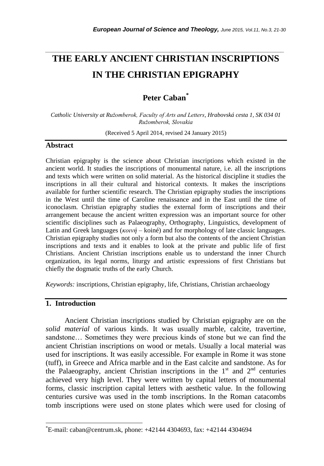# **THE EARLY ANCIENT CHRISTIAN INSCRIPTIONS IN THE CHRISTIAN EPIGRAPHY**

*\_\_\_\_\_\_\_\_\_\_\_\_\_\_\_\_\_\_\_\_\_\_\_\_\_\_\_\_\_\_\_\_\_\_\_\_\_\_\_\_\_\_\_\_\_\_\_\_\_\_\_\_\_\_\_\_\_\_\_\_\_\_\_\_\_\_\_\_\_\_\_*

## **Peter Caban\***

*Catholic University at Ružomberok, Faculty of Arts and Letters, Hrabovská cesta 1, SK 034 01 Ružomberok, Slovakia*

(Received 5 April 2014, revised 24 January 2015)

## **Abstract**

Christian epigraphy is the science about Christian inscriptions which existed in the ancient world. It studies the inscriptions of monumental nature, i.e. all the inscriptions and texts which were written on solid material. As the historical discipline it studies the inscriptions in all their cultural and historical contexts. It makes the inscriptions available for further scientific research. The Christian epigraphy studies the inscriptions in the West until the time of Caroline renaissance and in the East until the time of iconoclasm. Christian epigraphy studies the external form of inscriptions and their arrangement because the ancient written expression was an important source for other scientific disciplines such as Palaeography, Orthography, Linguistics, development of Latin and Greek languages (*κοινή* – koiné) and for morphology of late classic languages. Christian epigraphy studies not only a form but also the contents of the ancient Christian inscriptions and texts and it enables to look at the private and public life of first Christians. Ancient Christian inscriptions enable us to understand the inner Church organization, its legal norms, liturgy and artistic expressions of first Christians but chiefly the dogmatic truths of the early Church.

*Keywords:* inscriptions, Christian epigraphy, life, Christians, Christian archaeology

## **1. Introduction**

l

Ancient Christian inscriptions studied by Christian epigraphy are on the *solid material* of various kinds. It was usually marble, calcite, travertine, sandstone… Sometimes they were precious kinds of stone but we can find the ancient Christian inscriptions on wood or metals. Usually a local material was used for inscriptions. It was easily accessible. For example in Rome it was stone (tuff), in Greece and Africa marble and in the East calcite and sandstone. As for the Palaeography, ancient Christian inscriptions in the  $1<sup>st</sup>$  and  $2<sup>nd</sup>$  centuries achieved very high level. They were written by capital letters of monumental forms, classic inscription capital letters with aesthetic value. In the following centuries cursive was used in the tomb inscriptions. In the Roman catacombs tomb inscriptions were used on stone plates which were used for closing of

<sup>\*</sup>E-mail: caban@centrum.sk, phone: +42144 4304693, fax: +42144 4304694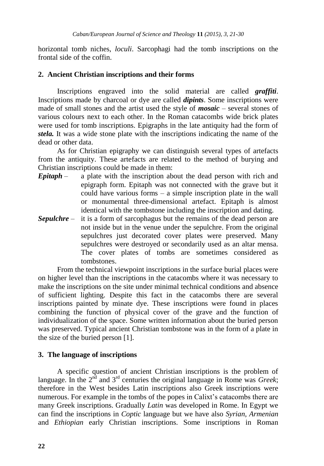horizontal tomb niches, *loculi*. Sarcophagi had the tomb inscriptions on the frontal side of the coffin.

#### **2. Ancient Christian inscriptions and their forms**

Inscriptions engraved into the solid material are called *graffiti*. Inscriptions made by charcoal or dye are called *dipints*. Some inscriptions were made of small stones and the artist used the style of *mosaic* – several stones of various colours next to each other. In the Roman catacombs wide brick plates were used for tomb inscriptions. Epigraphs in the late antiquity had the form of *stela.* It was a wide stone plate with the inscriptions indicating the name of the dead or other data.

As for Christian epigraphy we can distinguish several types of artefacts from the antiquity. These artefacts are related to the method of burying and Christian inscriptions could be made in them:

- *Epitaph*  a plate with the inscription about the dead person with rich and epigraph form. Epitaph was not connected with the grave but it could have various forms – a simple inscription plate in the wall or monumental three-dimensional artefact. Epitaph is almost identical with the tombstone including the inscription and dating.
- *Sepulchre* it is a form of sarcophagus but the remains of the dead person are not inside but in the venue under the sepulchre. From the original sepulchres just decorated cover plates were preserved. Many sepulchres were destroyed or secondarily used as an altar mensa. The cover plates of tombs are sometimes considered as tombstones.

From the technical viewpoint inscriptions in the surface burial places were on higher level than the inscriptions in the catacombs where it was necessary to make the inscriptions on the site under minimal technical conditions and absence of sufficient lighting. Despite this fact in the catacombs there are several inscriptions painted by minate dye. These inscriptions were found in places combining the function of physical cover of the grave and the function of individualization of the space. Some written information about the buried person was preserved. Typical ancient Christian tombstone was in the form of a plate in the size of the buried person [1].

#### **3. The language of inscriptions**

A specific question of ancient Christian inscriptions is the problem of language. In the  $2<sup>nd</sup>$  and  $3<sup>rd</sup>$  centuries the original language in Rome was *Greek*; therefore in the West besides Latin inscriptions also Greek inscriptions were numerous. For example in the tombs of the popes in Calixt's catacombs there are many Greek inscriptions. Gradually *Latin* was developed in Rome. In Egypt we can find the inscriptions in *Coptic* language but we have also *Syrian, Armenian*  and *Ethiopian* early Christian inscriptions. Some inscriptions in Roman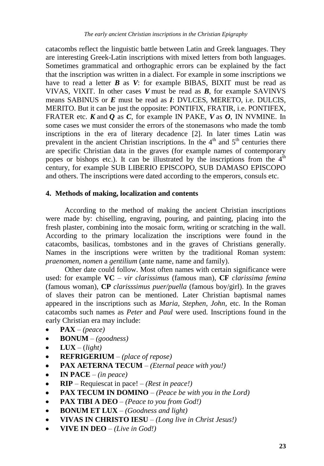catacombs reflect the linguistic battle between Latin and Greek languages. They are interesting Greek-Latin inscriptions with mixed letters from both languages. Sometimes grammatical and orthographic errors can be explained by the fact that the inscription was written in a dialect. For example in some inscriptions we have to read a letter  $\bm{B}$  as  $\bm{V}$ : for example BIBAS, BIXIT must be read as VIVAS, VIXIT. In other cases *V* must be read as *B*, for example SAVINVS means SABINUS or *E* must be read as *I*: DVLCES, MERETO, i.e. DULCIS, MERITO. But it can be just the opposite: PONTIFIX, FRATIR, i.e. PONTIFEX, FRATER etc. *K* and *Q* as *C*, for example IN PAKE, *V* as *O*, IN NVMINE. In some cases we must consider the errors of the stonemasons who made the tomb inscriptions in the era of literary decadence [2]. In later times Latin was prevalent in the ancient Christian inscriptions. In the  $4<sup>th</sup>$  and  $5<sup>th</sup>$  centuries there are specific Christian data in the graves (for example names of contemporary popes or bishops etc.). It can be illustrated by the inscriptions from the  $4<sup>th</sup>$ century, for example SUB LIBERIO EPISCOPO, SUB DAMASO EPISCOPO and others. The inscriptions were dated according to the emperors, consuls etc.

### **4. Methods of making, localization and contents**

According to the method of making the ancient Christian inscriptions were made by: chiselling, engraving, pouring, and painting, placing into the fresh plaster, combining into the mosaic form, writing or scratching in the wall. According to the primary localization the inscriptions were found in the catacombs, basilicas, tombstones and in the graves of Christians generally. Names in the inscriptions were written by the traditional Roman system: *praenomen, nomen* a *gentilium* (ante name, name and family).

Other date could follow. Most often names with certain significance were used: for example **VC** – *vir clarissimus* (famous man), **CF** *clarissima femina* (famous woman), **CP** *clarisssimus puer/puella* (famous boy/girl). In the graves of slaves their patron can be mentioned. Later Christian baptismal names appeared in the inscriptions such as *Maria, Stephen, John*, etc. In the Roman catacombs such names as *Peter* and *Paul* were used. Inscriptions found in the early Christian era may include:

- **PAX**  *(peace)*
- **BONUM**  *(goodness)*  $\bullet$
- $LUX (light)$
- **REFRIGERIUM** *(place of repose)*  $\bullet$
- **PAX AETERNA TECUM** *(Eternal peace with you!)*  $\bullet$
- **IN PACE** *(in peace)*
- **RIP** Requiescat in pace! *(Rest in peace!)*  $\bullet$
- **PAX TECUM IN DOMINO** *(Peace be with you in the Lord)*
- **PAX TIBI A DEO** *(Peace to you from God!)*  $\bullet$
- $\bullet$ **BONUM ET LUX** – *(Goodness and light)*
- **VIVAS IN CHRISTO IESU** *(Long live in Christ Jesus!)*  $\bullet$
- **VIVE IN DEO** *(Live in God!)* $\bullet$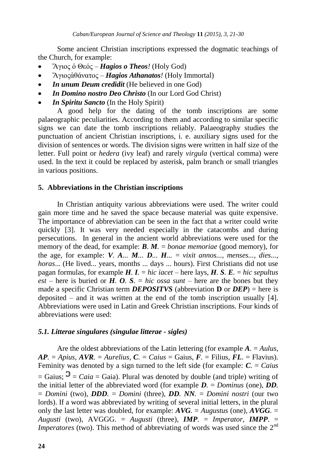Some ancient Christian inscriptions expressed the dogmatic teachings of the Church, for example:

- Ἅγιος ὁ Θεός *Hagios o Theos!* (Holy God)
- Ἅγιοςἀθάνατος *Hagios Athanatos!* (Holy Immortal)  $\bullet$
- *In unum Deum credidit* (He believed in one God)  $\bullet$
- *In Domino nostro Deo Christo* (In our Lord God Christ)
- *In Spiritu Sancto* (In the Holy Spirit)

A good help for the dating of the tomb inscriptions are some palaeographic peculiarities. According to them and according to similar specific signs we can date the tomb inscriptions reliably. Palaeography studies the punctuation of ancient Christian inscriptions, i. e. auxiliary signs used for the division of sentences or words. The division signs were written in half size of the letter. Full point or *hedera* (ivy leaf) and rarely *virgula* (vertical comma) were used. In the text it could be replaced by asterisk, palm branch or small triangles in various positions.

## **5. Abbreviations in the Christian inscriptions**

In Christian antiquity various abbreviations were used. The writer could gain more time and he saved the space because material was quite expensive. The importance of abbreviation can be seen in the fact that a writer could write quickly [3]. It was very needed especially in the catacombs and during persecutions. In general in the ancient world abbreviations were used for the memory of the dead, for example: *B. M.* = *bonae memoriae* (good memory), for the age, for example:  $V$ *. A...*  $M$ ...  $D$ ...  $H$ ... = *vixit annos..., menses..., dies..., horas*... (He lived... years, months ... days ... hours). First Christians did not use pagan formulas, for example *H. I.* = *hic iacet* – here lays, *H. S. E.* = *hic sepultus est* – here is buried or *H. O. S.* = *hic ossa sunt* – here are the bones but they made a specific Christian term *DEPOSITVS* (abbreviation **D** or *DEP*) = here is deposited – and it was written at the end of the tomb inscription usually [4]. Abbreviations were used in Latin and Greek Christian inscriptions. Four kinds of abbreviations were used:

## *5.1. Litterae singulares (singulae litterae - sigles)*

Are the oldest abbreviations of the Latin lettering (for example *A.* = *Aulus*,  $AP$ *.* = *Apius*, *AVR.* = *Aurelius*, *C.* = *Caius* = Gaius, *F.* = Filius, *FL.* = Flavius). Feminity was denoted by a sign turned to the left side (for example: *C.* = *Caius*  $=$  Gaius;  $\mathcal{D} = C a i a = G a i a$ ). Plural was denoted by double (and triple) writing of the initial letter of the abbreviated word (for example *D.* = *Dominus* (one), *DD.* = *Domini* (two), *DDD.* = *Domini* (three), *DD. NN.* = *Domini nostri* (our two lords). If a word was abbreviated by writing of several initial letters, in the plural only the last letter was doubled, for example:  $AVG$ *.* = *Augustus* (one),  $AVGG$ *.* = *Augusti* (two), AVGGG*.* = *Augusti* (three), *IMP*. = *Imperator*, *IMPP*. = *Imperatores* (two). This method of abbreviating of words was used since the 2<sup>nd</sup>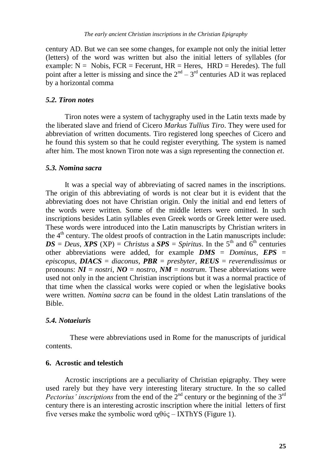century AD. But we can see some changes, for example not only the initial letter (letters) of the word was written but also the initial letters of syllables (for example:  $N = N_{\text{obs}}$ ,  $FCR = F_{\text{eccrent}}$ ,  $HR = H_{\text{eres}}$ ,  $HRD = H_{\text{eredes}}$ ). The full point after a letter is missing and since the  $2<sup>nd</sup> - 3<sup>rd</sup>$  centuries AD it was replaced by a horizontal comma

#### *5.2. Tiron notes*

Tiron notes were a system of tachygraphy used in the Latin texts made by the liberated slave and friend of Cicero *Markus Tullius Tiro*. They were used for abbreviation of written documents. Tiro registered long speeches of Cicero and he found this system so that he could register everything. The system is named after him. The most known Tiron note was a sign representing the connection *et*.

#### *5.3. Nomina sacra*

It was a special way of abbreviating of sacred names in the inscriptions. The origin of this abbreviating of words is not clear but it is evident that the abbreviating does not have Christian origin. Only the initial and end letters of the words were written. Some of the middle letters were omitted. In such inscriptions besides Latin syllables even Greek words or Greek letter were used. These words were introduced into the Latin manuscripts by Christian writers in the  $4<sup>th</sup>$  century. The oldest proofs of contraction in the Latin manuscripts include:  $DS = Deus$ , *XPS* (XP) = *Christus* a *SPS* = *Spiritus*. In the 5<sup>th</sup> and 6<sup>th</sup> centuries other abbreviations were added, for example *DMS* = *Dominus*, *EPS* = *episcopus*, *DIACS* = *diaconus*, *PBR* = *presbyter*, *REUS* = *reverendissimus* or pronouns:  $\mathbf{N}\mathbf{I} =$  *nostri*,  $\mathbf{N}\mathbf{O} =$  *nostro*,  $\mathbf{N}\mathbf{M} =$  *nostrum*. These abbreviations were used not only in the ancient Christian inscriptions but it was a normal practice of that time when the classical works were copied or when the legislative books were written. *Nomina sacra* can be found in the oldest Latin translations of the Bible.

#### *5.4. Notaeiuris*

These were abbreviations used in Rome for the manuscripts of juridical contents.

#### **6. Acrostic and telestich**

Acrostic inscriptions are a peculiarity of Christian epigraphy. They were used rarely but they have very interesting literary structure. In the so called *Pectorius' inscriptions* from the end of the 2<sup>nd</sup> century or the beginning of the 3<sup>rd</sup> century there is an interesting acrostic inscription where the initial letters of first five verses make the symbolic word  $\gamma \beta \psi \zeta - I X T h Y S$  (Figure 1).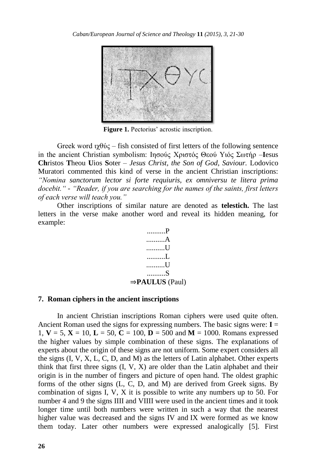

**Figure 1.** Pectorius' acrostic inscription.

Greek word  $\gamma \theta \dot{\gamma}$  – fish consisted of first letters of the following sentence in the ancient Christian symbolism: Iησούς Χριστός Θεού Υιός Σωτήρ –**I**esus **Ch**ristos **T**heou **U**ios **S**oter – *Jesus Christ, the Son of God, Saviour.* Lodovico Muratori commented this kind of verse in the ancient Christian inscriptions: *"Nomina sanctorum lector si forte requiuris, ex omniversu te litera prima docebit." - "Reader, if you are searching for the names of the saints, first letters of each verse will teach you."*

Other inscriptions of similar nature are denoted as **telestich.** The last letters in the verse make another word and reveal its hidden meaning, for example:



#### **7. Roman ciphers in the ancient inscriptions**

In ancient Christian inscriptions Roman ciphers were used quite often. Ancient Roman used the signs for expressing numbers. The basic signs were:  $I =$ 1,  $V = 5$ ,  $X = 10$ ,  $L = 50$ ,  $C = 100$ ,  $D = 500$  and  $M = 1000$ . Romans expressed the higher values by simple combination of these signs. The explanations of experts about the origin of these signs are not uniform. Some expert considers all the signs (I, V, X, L, C, D, and M) as the letters of Latin alphabet. Other experts think that first three signs  $(I, V, X)$  are older than the Latin alphabet and their origin is in the number of fingers and picture of open hand. The oldest graphic forms of the other signs (L, C, D, and M) are derived from Greek signs. By combination of signs I, V, X it is possible to write any numbers up to 50. For number 4 and 9 the signs IIII and VIIII were used in the ancient times and it took longer time until both numbers were written in such a way that the nearest higher value was decreased and the signs IV and IX were formed as we know them today. Later other numbers were expressed analogically [5]. First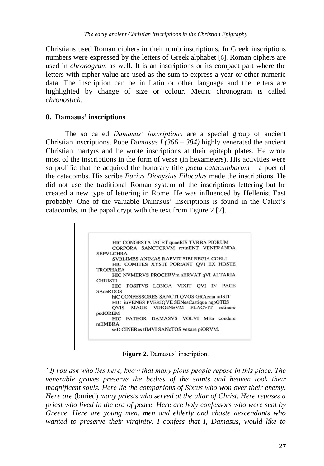Christians used Roman ciphers in their tomb inscriptions. In Greek inscriptions numbers were expressed by the letters of Greek alphabet [6]. Roman ciphers are used in *chronogram* as well. It is an inscriptions or its compact part where the letters with cipher value are used as the sum to express a year or other numeric data. The inscription can be in Latin or other language and the letters are highlighted by change of size or colour. Metric chronogram is called *chronostich*.

## **8. Damasus' inscriptions**

The so called *Damasus' inscriptions* are a special group of ancient Christian inscriptions. Pope *Damasus I*  $(366 - 384)$  highly venerated the ancient Christian martyrs and he wrote inscriptions at their epitaph plates. He wrote most of the inscriptions in the form of verse (in hexameters). His activities were so prolific that he acquired the honorary title *poeta catacumbarum* – a poet of the catacombs. His scribe *Furius Dionysius Filocalus* made the inscriptions. He did not use the traditional Roman system of the inscriptions lettering but he created a new type of lettering in Rome. He was influenced by Hellenist East probably. One of the valuable Damasus' inscriptions is found in the Calixt's catacombs, in the papal crypt with the text from Figure 2 [7].

|                  | HIC CONGESTA IACET quaeRIS TVRBA PIORUM    |                                 |  |  |
|------------------|--------------------------------------------|---------------------------------|--|--|
|                  | CORPORA SANCTORVM retinENT VENERANDA       |                                 |  |  |
| <b>SEPVLCHRA</b> |                                            |                                 |  |  |
|                  | SVBLIMES ANIMAS RAPVIT SIBI REGIA COELI    |                                 |  |  |
|                  | HIC COMITES XYSTI PORtANT QVI EX HOSTE     |                                 |  |  |
| <b>TROPHAEA</b>  |                                            |                                 |  |  |
|                  | HIC NVMERVS PROCERVm sERVAT qVI ALTARIA    |                                 |  |  |
| <b>CHRISTI</b>   |                                            |                                 |  |  |
|                  | HIC POSITVS LONGA VIXIT OVI IN PACE        |                                 |  |  |
| <b>SAceRDOS</b>  |                                            |                                 |  |  |
|                  | hiC CONFESSORES SANCTI QVOS GRAecia mISIT  |                                 |  |  |
|                  | HIC iuVENES PVERIOVE SENesCastique nepOTES |                                 |  |  |
| <b>OVIS</b>      |                                            | MAGE VIRGINEVM PLACVIT retinere |  |  |
| pudOREM          |                                            |                                 |  |  |
|                  | HIC FATEOR DAMASVS VOLVI MEa condere       |                                 |  |  |
| <b>mEMBRA</b>    |                                            |                                 |  |  |
|                  | seD CINERes tIMVI SANCTOS vexare piORVM.   |                                 |  |  |

**Figure 2.** Damasus' inscription.

*"If you ask who lies here, know that many pious people repose in this place. The venerable graves preserve the bodies of the saints and heaven took their magnificent souls. Here lie the companions of Sixtus who won over their enemy. Here are* (buried) *many priests who served at the altar of Christ. Here reposes a priest who lived in the era of peace. Here are holy confessors who were sent by Greece. Here are young men, men and elderly and chaste descendants who wanted to preserve their virginity. I confess that I, Damasus, would like to*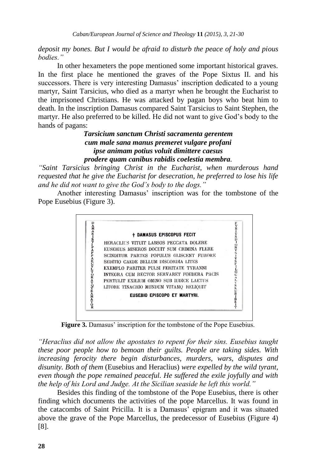*deposit my bones. But I would be afraid to disturb the peace of holy and pious bodies."*

In other hexameters the pope mentioned some important historical graves. In the first place he mentioned the graves of the Pope Sixtus II. and his successors. There is very interesting Damasus' inscription dedicated to a young martyr, Saint Tarsicius, who died as a martyr when he brought the Eucharist to the imprisoned Christians. He was attacked by pagan boys who beat him to death. In the inscription Damasus compared Saint Tarsicius to Saint Stephen, the martyr. He also preferred to be killed. He did not want to give God's body to the hands of pagans:

## *Tarsicium sanctum Christi sacramenta gerentem cum male sana manus premeret vulgare profani ipse animam potius voluit dimittere caesus prodere quam canibus rabidis coelestia membra.*

*"Saint Tarsicius bringing Christ in the Eucharist, when murderous hand requested that he give the Eucharist for desecration, he preferred to lose his life and he did not want to give the God's body to the dogs."*

Another interesting Damasus' inscription was for the tombstone of the Pope Eusebius (Figure 3).



Figure 3. Damasus' inscription for the tombstone of the Pope Eusebius.

*"Heraclius did not allow the apostates to repent for their sins. Eusebius taught these poor people how to bemoan their guilts. People are taking sides. With increasing ferocity there begin disturbances, murders, wars, disputes and disunity. Both of them* (Eusebius and Heraclius) *were expelled by the wild tyrant, even though the pope remained peaceful. He suffered the exile joyfully and with the help of his Lord and Judge. At the Sicilian seaside he left this world."*

Besides this finding of the tombstone of the Pope Eusebius, there is other finding which documents the activities of the pope Marcellus. It was found in the catacombs of Saint Pricilla. It is a Damasus' epigram and it was situated above the grave of the Pope Marcellus, the predecessor of Eusebius (Figure 4) [8].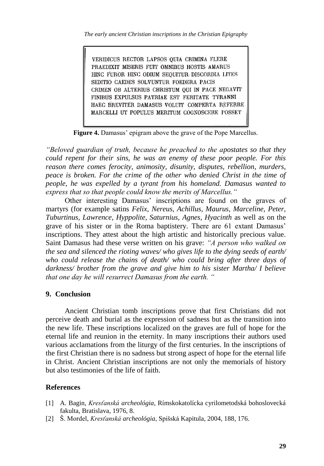*The early ancient Christian inscriptions in the Christian Epigraphy*

VERIDICUS RECTOR LAPSOS OUIA CRIMINA FLERE PRAEDIXIT MISERIS FUIT OMNIBUS HOSTIS AMARUS HING FUROR HING ODIUM SEQUITUR DISCORDIA LITES SEDITIO CAEDES SOLVUNTUR FOEDERA PACIS CRIMEN OB ALTERIUS CHRISTUM OUI IN PACE NEGAVIT FINIBUS EXPULSUS PATRIAE EST FERITATE TYRANNI HAEC BREVITER DAMASUS VOLUIT COMPERTA REFERRE MARCELLI UT POPULUS MERITUM COGNOSCERE POSSET

**Figure 4.** Damasus' epigram above the grave of the Pope Marcellus.

*"Beloved guardian of truth, because he preached to the apostates so that they could repent for their sins, he was an enemy of these poor people. For this reason there comes ferocity, animosity, disunity, disputes, rebellion, murders, peace is broken. For the crime of the other who denied Christ in the time of people, he was expelled by a tyrant from his homeland. Damasus wanted to express that so that people could know the merits of Marcellus."*

Other interesting Damasus' inscriptions are found on the graves of martyrs (for example satins *Felix, Nereus, Achillus, Maurus, Marceline, Peter, Tuburtinus, Lawrence, Hyppolite, Saturnius, Agnes, Hyacinth* as well as on the grave of his sister or in the Roma baptistery. There are 61 extant Damasus' inscriptions. They attest about the high artistic and historically precious value. Saint Damasus had these verse written on his grave: *"A person who walked on the sea and silenced the rioting waves/ who gives life to the dying seeds of earth/ who could release the chains of death/ who could bring after three days of darkness/ brother from the grave and give him to his sister Martha/ I believe that one day he will resurrect Damasus from the earth. "*

#### **9. Conclusion**

Ancient Christian tomb inscriptions prove that first Christians did not perceive death and burial as the expression of sadness but as the transition into the new life. These inscriptions localized on the graves are full of hope for the eternal life and reunion in the eternity. In many inscriptions their authors used various acclamations from the liturgy of the first centuries. In the inscriptions of the first Christian there is no sadness but strong aspect of hope for the eternal life in Christ. Ancient Christian inscriptions are not only the memorials of history but also testimonies of the life of faith.

## **References**

- [1] A. Bagin, *Kresťanská archeológia*, Rímskokatolícka cyrilometodská bohoslovecká fakulta, Bratislava, 1976, 8.
- [2] Š. Mordel, *Kresťanská archeológia*, Spišská Kapitula, 2004, 188, 176.